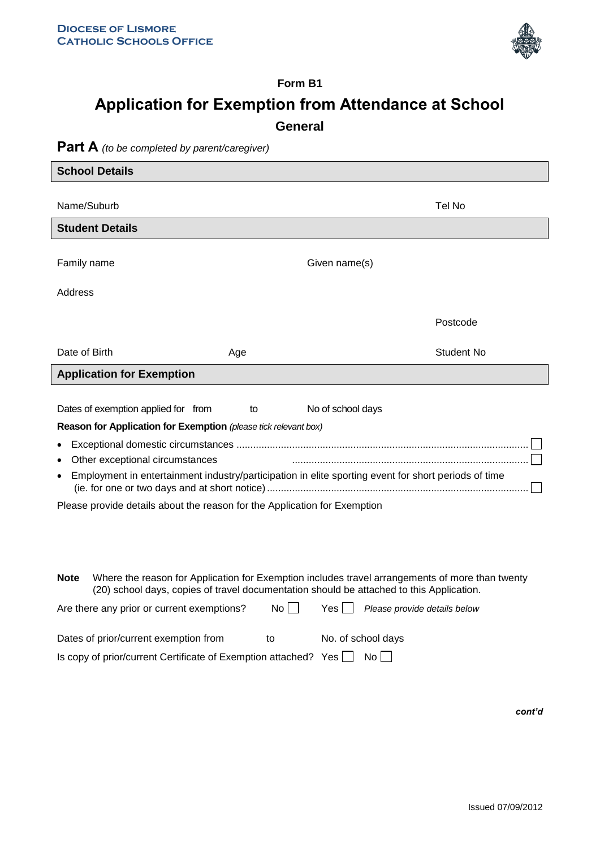$\overline{\phantom{a}}$ 



## **Form B1 Application for Exemption from Attendance at School General**

## **Part A** *(to be completed by parent/caregiver)*

| <b>School Details</b>                                                                                                                                             |    |                                                                                                 |  |  |
|-------------------------------------------------------------------------------------------------------------------------------------------------------------------|----|-------------------------------------------------------------------------------------------------|--|--|
|                                                                                                                                                                   |    |                                                                                                 |  |  |
| Name/Suburb                                                                                                                                                       |    | Tel No                                                                                          |  |  |
| <b>Student Details</b>                                                                                                                                            |    |                                                                                                 |  |  |
| Family name                                                                                                                                                       |    | Given name(s)                                                                                   |  |  |
| Address                                                                                                                                                           |    |                                                                                                 |  |  |
|                                                                                                                                                                   |    | Postcode                                                                                        |  |  |
| Date of Birth<br>Age                                                                                                                                              |    | <b>Student No</b>                                                                               |  |  |
| <b>Application for Exemption</b>                                                                                                                                  |    |                                                                                                 |  |  |
|                                                                                                                                                                   |    |                                                                                                 |  |  |
| Dates of exemption applied for from                                                                                                                               | to | No of school days                                                                               |  |  |
| Reason for Application for Exemption (please tick relevant box)                                                                                                   |    |                                                                                                 |  |  |
|                                                                                                                                                                   |    |                                                                                                 |  |  |
| Other exceptional circumstances<br>$\bullet$<br>Employment in entertainment industry/participation in elite sporting event for short periods of time<br>$\bullet$ |    |                                                                                                 |  |  |
| Please provide details about the reason for the Application for Exemption                                                                                         |    |                                                                                                 |  |  |
| <b>Note</b>                                                                                                                                                       |    | Where the reason for Application for Exemption includes travel arrangements of more than twenty |  |  |
| (20) school days, copies of travel documentation should be attached to this Application.                                                                          |    |                                                                                                 |  |  |
| Are there any prior or current exemptions?                                                                                                                        | No | Yes l<br>Please provide details below                                                           |  |  |
| Dates of prior/current exemption from                                                                                                                             | to | No. of school days                                                                              |  |  |

Is copy of prior/current Certificate of Exemption attached? Yes  $\Box$  No  $\Box$ 

*cont'd*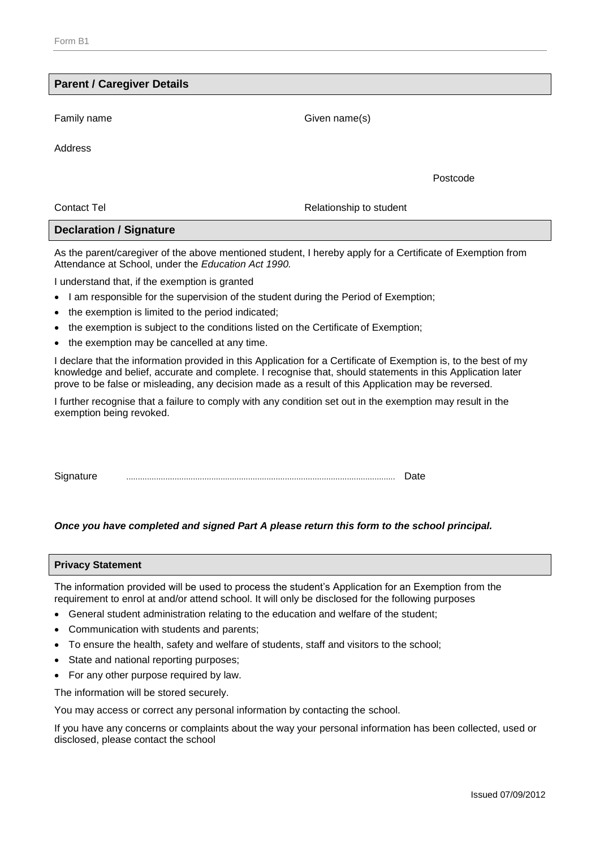| <b>Parent / Caregiver Details</b> |                         |
|-----------------------------------|-------------------------|
| Family name                       | Given name(s)           |
|                                   |                         |
| Address                           |                         |
|                                   | Postcode                |
| <b>Contact Tel</b>                | Relationship to student |
| <b>Declaration / Signature</b>    |                         |

As the parent/caregiver of the above mentioned student, I hereby apply for a Certificate of Exemption from Attendance at School, under the *Education Act 1990.*

I understand that, if the exemption is granted

- I am responsible for the supervision of the student during the Period of Exemption;
- the exemption is limited to the period indicated;
- the exemption is subject to the conditions listed on the Certificate of Exemption;
- the exemption may be cancelled at any time.

I declare that the information provided in this Application for a Certificate of Exemption is, to the best of my knowledge and belief, accurate and complete. I recognise that, should statements in this Application later prove to be false or misleading, any decision made as a result of this Application may be reversed.

I further recognise that a failure to comply with any condition set out in the exemption may result in the exemption being revoked.

Signature ..................................................................................................................... Date

## *Once you have completed and signed Part A please return this form to the school principal.*

| <b>Privacy Statement</b> |  |
|--------------------------|--|
|--------------------------|--|

The information provided will be used to process the student's Application for an Exemption from the requirement to enrol at and/or attend school. It will only be disclosed for the following purposes

- General student administration relating to the education and welfare of the student;
- Communication with students and parents;
- To ensure the health, safety and welfare of students, staff and visitors to the school;
- State and national reporting purposes;
- For any other purpose required by law.

The information will be stored securely.

You may access or correct any personal information by contacting the school.

If you have any concerns or complaints about the way your personal information has been collected, used or disclosed, please contact the school